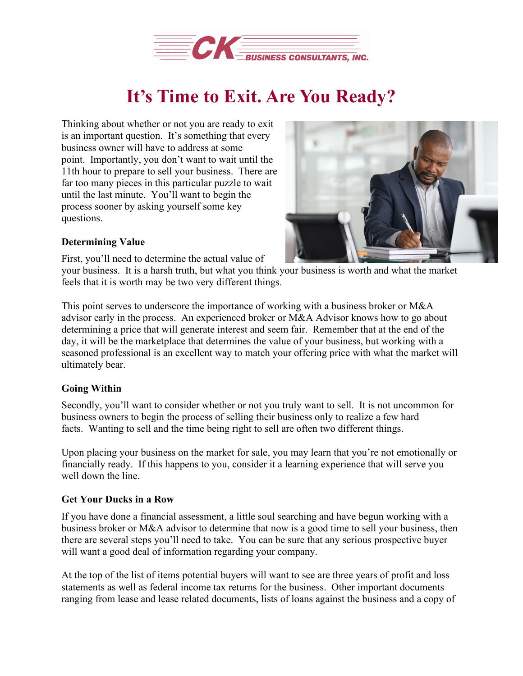

## **It's Time to Exit. Are You Ready?**

Thinking about whether or not you are ready to exit is an important question. It's something that every business owner will have to address at some point. Importantly, you don't want to wait until the 11th hour to prepare to sell your business. There are far too many pieces in this particular puzzle to wait until the last minute. You'll want to begin the process sooner by asking yourself some key questions.



## **Determining Value**

First, you'll need to determine the actual value of

your business. It is a harsh truth, but what you think your business is worth and what the market feels that it is worth may be two very different things.

This point serves to underscore the importance of working with a business broker or M&A advisor early in the process. An experienced broker or M&A Advisor knows how to go about determining a price that will generate interest and seem fair. Remember that at the end of the day, it will be the marketplace that determines the value of your business, but working with a seasoned professional is an excellent way to match your offering price with what the market will ultimately bear.

## **Going Within**

Secondly, you'll want to consider whether or not you truly want to sell. It is not uncommon for business owners to begin the process of selling their business only to realize a few hard facts. Wanting to sell and the time being right to sell are often two different things.

Upon placing your business on the market for sale, you may learn that you're not emotionally or financially ready. If this happens to you, consider it a learning experience that will serve you well down the line.

## **Get Your Ducks in a Row**

If you have done a financial assessment, a little soul searching and have begun working with a business broker or M&A advisor to determine that now is a good time to sell your business, then there are several steps you'll need to take. You can be sure that any serious prospective buyer will want a good deal of information regarding your company.

At the top of the list of items potential buyers will want to see are three years of profit and loss statements as well as federal income tax returns for the business. Other important documents ranging from lease and lease related documents, lists of loans against the business and a copy of